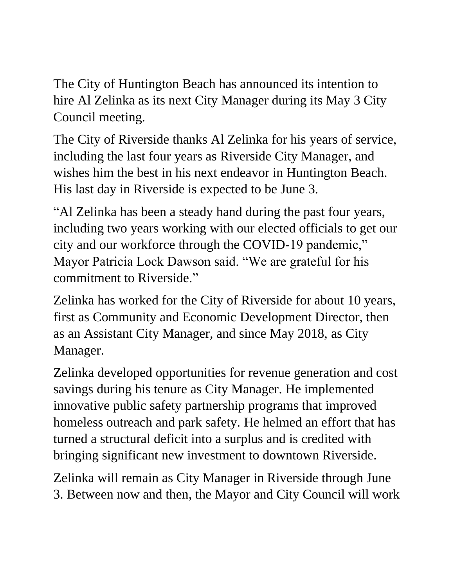The City of Huntington Beach has announced its intention to hire Al Zelinka as its next City Manager during its May 3 City Council meeting.

The City of Riverside thanks Al Zelinka for his years of service, including the last four years as Riverside City Manager, and wishes him the best in his next endeavor in Huntington Beach. His last day in Riverside is expected to be June 3.

"Al Zelinka has been a steady hand during the past four years, including two years working with our elected officials to get our city and our workforce through the COVID-19 pandemic," Mayor Patricia Lock Dawson said. "We are grateful for his commitment to Riverside."

Zelinka has worked for the City of Riverside for about 10 years, first as Community and Economic Development Director, then as an Assistant City Manager, and since May 2018, as City Manager.

Zelinka developed opportunities for revenue generation and cost savings during his tenure as City Manager. He implemented innovative public safety partnership programs that improved homeless outreach and park safety. He helmed an effort that has turned a structural deficit into a surplus and is credited with bringing significant new investment to downtown Riverside.

Zelinka will remain as City Manager in Riverside through June 3. Between now and then, the Mayor and City Council will work